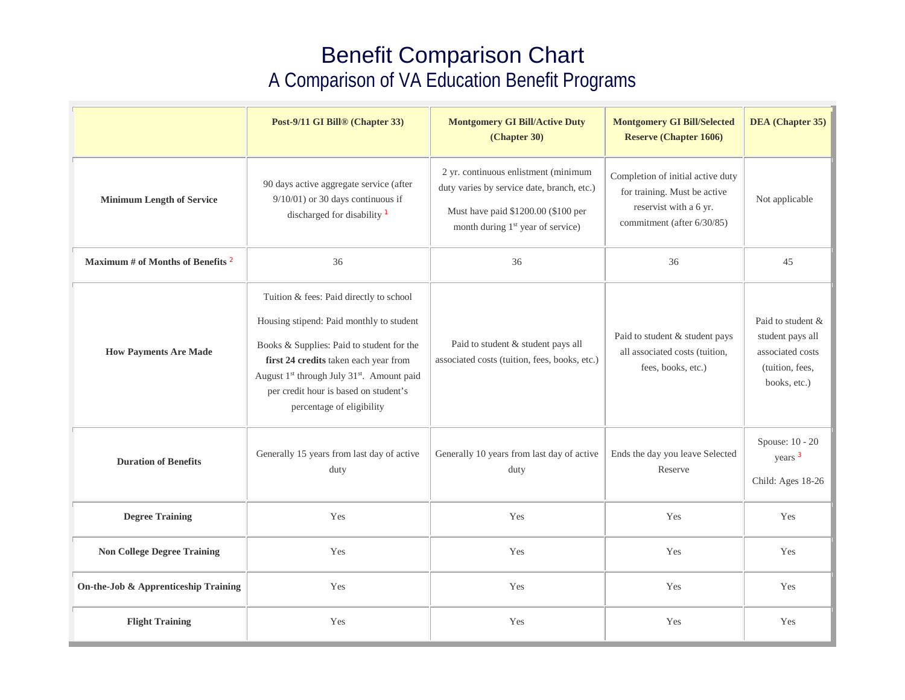## Benefit Comparison Chart A Comparison of VA Education Benefit Programs

|                                              | Post-9/11 GI Bill® (Chapter 33)                                                                                                                                                                                                                                                                                       | <b>Montgomery GI Bill/Active Duty</b><br>(Chapter 30)                                                                                                                      | <b>Montgomery GI Bill/Selected</b><br><b>Reserve (Chapter 1606)</b>                                                       | <b>DEA</b> (Chapter 35)                                                                      |
|----------------------------------------------|-----------------------------------------------------------------------------------------------------------------------------------------------------------------------------------------------------------------------------------------------------------------------------------------------------------------------|----------------------------------------------------------------------------------------------------------------------------------------------------------------------------|---------------------------------------------------------------------------------------------------------------------------|----------------------------------------------------------------------------------------------|
| <b>Minimum Length of Service</b>             | 90 days active aggregate service (after<br>$9/10/01$ ) or 30 days continuous if<br>discharged for disability <sup>1</sup>                                                                                                                                                                                             | 2 yr. continuous enlistment (minimum<br>duty varies by service date, branch, etc.)<br>Must have paid \$1200.00 (\$100 per<br>month during 1 <sup>st</sup> year of service) | Completion of initial active duty<br>for training. Must be active<br>reservist with a 6 yr.<br>commitment (after 6/30/85) | Not applicable                                                                               |
| Maximum # of Months of Benefits <sup>2</sup> | 36                                                                                                                                                                                                                                                                                                                    | 36                                                                                                                                                                         | 36                                                                                                                        | 45                                                                                           |
| <b>How Payments Are Made</b>                 | Tuition & fees: Paid directly to school<br>Housing stipend: Paid monthly to student<br>Books & Supplies: Paid to student for the<br>first 24 credits taken each year from<br>August 1 <sup>st</sup> through July 31 <sup>st</sup> . Amount paid<br>per credit hour is based on student's<br>percentage of eligibility | Paid to student & student pays all<br>associated costs (tuition, fees, books, etc.)                                                                                        | Paid to student & student pays<br>all associated costs (tuition,<br>fees, books, etc.)                                    | Paid to student &<br>student pays all<br>associated costs<br>(tuition, fees,<br>books, etc.) |
| <b>Duration of Benefits</b>                  | Generally 15 years from last day of active<br>duty                                                                                                                                                                                                                                                                    | Generally 10 years from last day of active<br>duty                                                                                                                         | Ends the day you leave Selected<br>Reserve                                                                                | Spouse: 10 - 20<br>years <sup>3</sup><br>Child: Ages 18-26                                   |
| <b>Degree Training</b>                       | Yes                                                                                                                                                                                                                                                                                                                   | Yes                                                                                                                                                                        | Yes                                                                                                                       | Yes                                                                                          |
| <b>Non College Degree Training</b>           | Yes                                                                                                                                                                                                                                                                                                                   | Yes                                                                                                                                                                        | Yes                                                                                                                       | Yes                                                                                          |
| On-the-Job & Apprenticeship Training         | Yes                                                                                                                                                                                                                                                                                                                   | Yes                                                                                                                                                                        | Yes                                                                                                                       | Yes                                                                                          |
| <b>Flight Training</b>                       | Yes                                                                                                                                                                                                                                                                                                                   | Yes                                                                                                                                                                        | Yes                                                                                                                       | Yes                                                                                          |